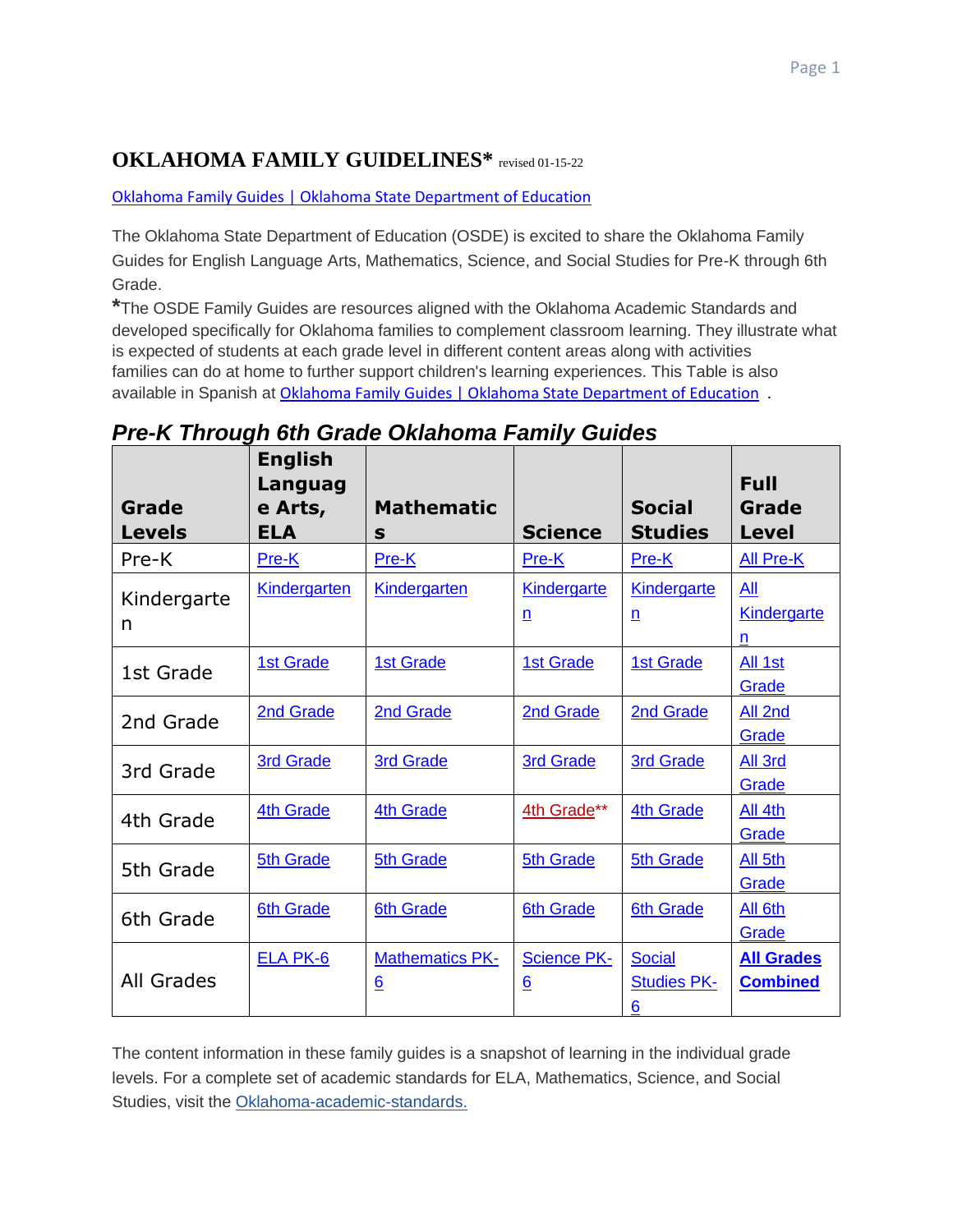## **OKLAHOMA FAMILY GUIDELINES\*** revised 01-15-22

## [Oklahoma Family Guides | Oklahoma State Department of Education](https://sde.ok.gov/oklahoma-family-guides)

The Oklahoma State Department of Education (OSDE) is excited to share the Oklahoma Family Guides for English Language Arts, Mathematics, Science, and Social Studies for Pre-K through 6th Grade.

**\***The OSDE Family Guides are resources aligned with the Oklahoma Academic Standards and developed specifically for Oklahoma families to complement classroom learning. They illustrate what is expected of students at each grade level in different content areas along with activities families can do at home to further support children's learning experiences. This Table is also available in Spanish at [Oklahoma Family Guides | Oklahoma State Department of Education](https://sde.ok.gov/oklahoma-family-guides) .

| Grade<br><b>Levels</b> | <b>English</b><br>Languag<br>e Arts,<br><b>ELA</b> | <b>Mathematic</b><br>S      | <b>Science</b>                        | <b>Social</b><br><b>Studies</b>          | <b>Full</b><br>Grade<br><b>Level</b> |
|------------------------|----------------------------------------------------|-----------------------------|---------------------------------------|------------------------------------------|--------------------------------------|
| Pre-K                  | Pre-K                                              | Pre-K                       | Pre-K                                 | $Pre-K$                                  | <b>All Pre-K</b>                     |
| Kindergarte<br>n       | <b>Kindergarten</b>                                | <b>Kindergarten</b>         | <b>Kindergarte</b><br>$\underline{n}$ | <b>Kindergarte</b><br>$\underline{n}$    | All<br><b>Kindergarte</b><br>n       |
| 1st Grade              | 1st Grade                                          | <b>1st Grade</b>            | <b>1st Grade</b>                      | <b>1st Grade</b>                         | All 1st<br>Grade                     |
| 2nd Grade              | 2nd Grade                                          | 2nd Grade                   | 2nd Grade                             | 2nd Grade                                | All 2nd<br>Grade                     |
| 3rd Grade              | 3rd Grade                                          | 3rd Grade                   | 3rd Grade                             | 3rd Grade                                | All 3rd<br>Grade                     |
| 4th Grade              | <b>4th Grade</b>                                   | <b>4th Grade</b>            | 4th Grade**                           | <b>4th Grade</b>                         | All 4th<br>Grade                     |
| 5th Grade              | <b>5th Grade</b>                                   | <b>5th Grade</b>            | <b>5th Grade</b>                      | <b>5th Grade</b>                         | All 5th<br>Grade                     |
| 6th Grade              | <b>6th Grade</b>                                   | <b>6th Grade</b>            | <b>6th Grade</b>                      | <b>6th Grade</b>                         | All 6th<br>Grade                     |
| All Grades             | ELA PK-6                                           | <b>Mathematics PK-</b><br>6 | <b>Science PK-</b><br>6               | <b>Social</b><br><b>Studies PK-</b><br>6 | <b>All Grades</b><br><b>Combined</b> |

## *Pre-K Through 6th Grade Oklahoma Family Guides*

The content information in these family guides is a snapshot of learning in the individual grade levels. For a complete set of academic standards for ELA, Mathematics, Science, and Social Studies, visit the [Oklahoma-academic-standards.](https://sde.ok.gov/oklahoma-academic-standards)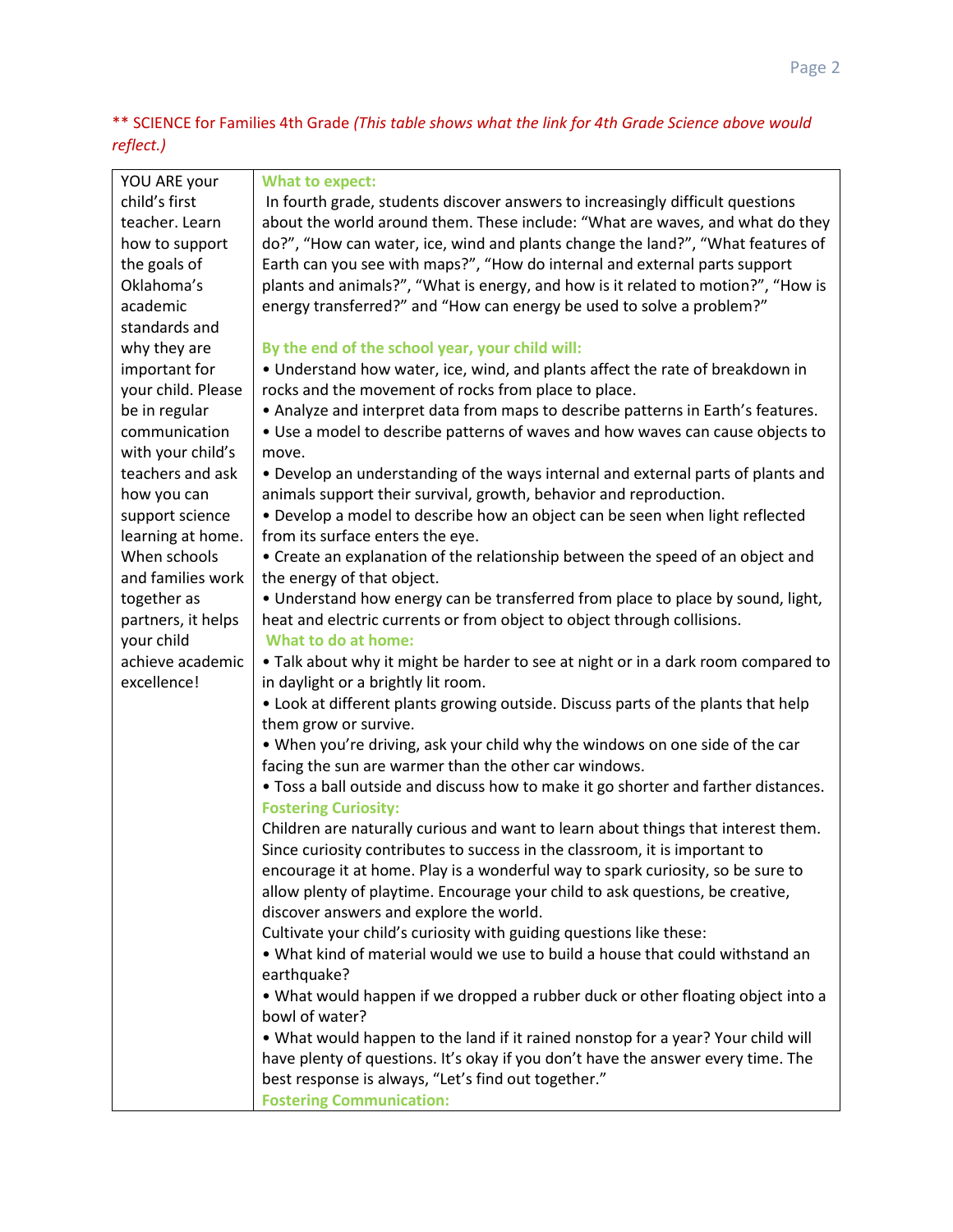## \*\* SCIENCE for Families 4th Grade *(This table shows what the link for 4th Grade Science above would reflect.)*

| YOU ARE your       | <b>What to expect:</b>                                                                                                                                               |  |  |  |  |  |
|--------------------|----------------------------------------------------------------------------------------------------------------------------------------------------------------------|--|--|--|--|--|
| child's first      | In fourth grade, students discover answers to increasingly difficult questions                                                                                       |  |  |  |  |  |
| teacher. Learn     | about the world around them. These include: "What are waves, and what do they                                                                                        |  |  |  |  |  |
| how to support     | do?", "How can water, ice, wind and plants change the land?", "What features of                                                                                      |  |  |  |  |  |
| the goals of       | Earth can you see with maps?", "How do internal and external parts support                                                                                           |  |  |  |  |  |
| Oklahoma's         | plants and animals?", "What is energy, and how is it related to motion?", "How is                                                                                    |  |  |  |  |  |
| academic           | energy transferred?" and "How can energy be used to solve a problem?"                                                                                                |  |  |  |  |  |
| standards and      |                                                                                                                                                                      |  |  |  |  |  |
| why they are       | By the end of the school year, your child will:                                                                                                                      |  |  |  |  |  |
| important for      | • Understand how water, ice, wind, and plants affect the rate of breakdown in                                                                                        |  |  |  |  |  |
| your child. Please | rocks and the movement of rocks from place to place.                                                                                                                 |  |  |  |  |  |
| be in regular      | • Analyze and interpret data from maps to describe patterns in Earth's features.                                                                                     |  |  |  |  |  |
| communication      | . Use a model to describe patterns of waves and how waves can cause objects to                                                                                       |  |  |  |  |  |
| with your child's  | move.                                                                                                                                                                |  |  |  |  |  |
| teachers and ask   | • Develop an understanding of the ways internal and external parts of plants and                                                                                     |  |  |  |  |  |
| how you can        | animals support their survival, growth, behavior and reproduction.                                                                                                   |  |  |  |  |  |
| support science    | • Develop a model to describe how an object can be seen when light reflected                                                                                         |  |  |  |  |  |
| learning at home.  | from its surface enters the eye.                                                                                                                                     |  |  |  |  |  |
| When schools       | • Create an explanation of the relationship between the speed of an object and                                                                                       |  |  |  |  |  |
| and families work  | the energy of that object.                                                                                                                                           |  |  |  |  |  |
| together as        | . Understand how energy can be transferred from place to place by sound, light,                                                                                      |  |  |  |  |  |
| partners, it helps | heat and electric currents or from object to object through collisions.                                                                                              |  |  |  |  |  |
| your child         | <b>What to do at home:</b>                                                                                                                                           |  |  |  |  |  |
| achieve academic   | . Talk about why it might be harder to see at night or in a dark room compared to                                                                                    |  |  |  |  |  |
| excellence!        | in daylight or a brightly lit room.                                                                                                                                  |  |  |  |  |  |
|                    | • Look at different plants growing outside. Discuss parts of the plants that help                                                                                    |  |  |  |  |  |
|                    | them grow or survive.                                                                                                                                                |  |  |  |  |  |
|                    | . When you're driving, ask your child why the windows on one side of the car                                                                                         |  |  |  |  |  |
|                    | facing the sun are warmer than the other car windows.                                                                                                                |  |  |  |  |  |
|                    | . Toss a ball outside and discuss how to make it go shorter and farther distances.                                                                                   |  |  |  |  |  |
|                    | <b>Fostering Curiosity:</b>                                                                                                                                          |  |  |  |  |  |
|                    | Children are naturally curious and want to learn about things that interest them.                                                                                    |  |  |  |  |  |
|                    | Since curiosity contributes to success in the classroom, it is important to<br>encourage it at home. Play is a wonderful way to spark curiosity, so be sure to       |  |  |  |  |  |
|                    |                                                                                                                                                                      |  |  |  |  |  |
|                    | allow plenty of playtime. Encourage your child to ask questions, be creative,                                                                                        |  |  |  |  |  |
|                    | discover answers and explore the world.                                                                                                                              |  |  |  |  |  |
|                    | Cultivate your child's curiosity with guiding questions like these:                                                                                                  |  |  |  |  |  |
|                    | . What kind of material would we use to build a house that could withstand an<br>earthquake?                                                                         |  |  |  |  |  |
|                    |                                                                                                                                                                      |  |  |  |  |  |
|                    | . What would happen if we dropped a rubber duck or other floating object into a                                                                                      |  |  |  |  |  |
|                    | bowl of water?                                                                                                                                                       |  |  |  |  |  |
|                    | . What would happen to the land if it rained nonstop for a year? Your child will<br>have plenty of questions. It's okay if you don't have the answer every time. The |  |  |  |  |  |
|                    |                                                                                                                                                                      |  |  |  |  |  |
|                    | best response is always, "Let's find out together."                                                                                                                  |  |  |  |  |  |
|                    | <b>Fostering Communication:</b>                                                                                                                                      |  |  |  |  |  |